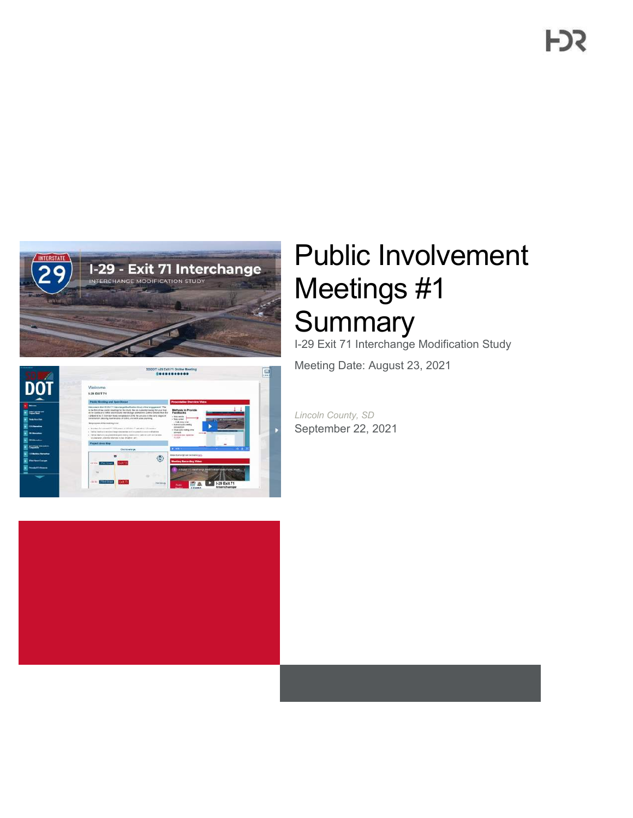

|                                                        | SODOT (-29 Exit 71 Online Meeting)<br>                                                                                                                                                                                                                                                                                                                                                                                                                                                                                            | s<br>$1000 + 1000$                                   |
|--------------------------------------------------------|-----------------------------------------------------------------------------------------------------------------------------------------------------------------------------------------------------------------------------------------------------------------------------------------------------------------------------------------------------------------------------------------------------------------------------------------------------------------------------------------------------------------------------------|------------------------------------------------------|
|                                                        | Welcome.<br>1-29 EXIT 71                                                                                                                                                                                                                                                                                                                                                                                                                                                                                                          |                                                      |
|                                                        | Public Mooring and Doers House                                                                                                                                                                                                                                                                                                                                                                                                                                                                                                    | Prescription Dynnicse Video                          |
| <b>MARCH 19</b><br><b>Lody Accessibility</b>           | Heritage in the LTE SUP 71 Department Maritimeters Study while a representative Trial<br>to the Rom of two clubbs, sowerings for the crucy, the one currents insured by your lies?<br>Methods to Provide<br>at we continue to refire and enstant were purge submarkers cannot forward those the<br>Foodbacks<br>- 29 BAC RC N: 73 Contrary fluxly averageded in 2018. We are also to the stars coupled of<br>- Starweigh<br>considerer absurg, manipures or conc. and with announcement.<br>$-$ 34 as senare<br>- final para long |                                                      |
| <b>Stationary of the United</b><br><b>ST. Movement</b> | The purpose of the treating it to<br>· Romancia Iniciandra<br>contract first.<br>· Immedia annual PT300 anns a lathford annual china in<br>v Velal Jubic nadoj; vene<br>a liable bericulus macroporta polar activosmi atom trobatares<br><i>atmate</i>                                                                                                                                                                                                                                                                            | <b>CONTRACT</b><br>$\sim$                            |
|                                                        | 4. The fact headfulnit as prevented dramate relation communities (seek the wall) correlations.<br>- Developed for Develop-<br>or conta<br>lacsionwar, prestor réserve to ve tendran util                                                                                                                                                                                                                                                                                                                                          |                                                      |
| <b>ISS Monday</b>                                      | Propert Area West                                                                                                                                                                                                                                                                                                                                                                                                                                                                                                                 |                                                      |
| <b>College Streeton</b>                                | <b>DOM:</b><br><b>Clear to write pa.</b>                                                                                                                                                                                                                                                                                                                                                                                                                                                                                          | $\bullet$ 0 $\uparrow$                               |
| 21 Marchine Piegraphine                                |                                                                                                                                                                                                                                                                                                                                                                                                                                                                                                                                   | VISOS ESPACOS NA EL HANO DEL                         |
| The face Course.                                       | $\binom{n}{n}$<br><b>STORY STATEROOM</b><br>ixt73                                                                                                                                                                                                                                                                                                                                                                                                                                                                                 | <b>Manting Returning Wilson</b>                      |
| PERSONAL PROPERTY.                                     |                                                                                                                                                                                                                                                                                                                                                                                                                                                                                                                                   | 20 Ford 21 months and Modification to do thinks have |
|                                                        | u<br><b>TOM RING</b><br>CHINY<br>Extr 71<br><b>FIRSTMANN</b>                                                                                                                                                                                                                                                                                                                                                                                                                                                                      | 1-29 Exit 71                                         |
|                                                        | Point                                                                                                                                                                                                                                                                                                                                                                                                                                                                                                                             | Interchange<br><b>ALCOHOL</b>                        |

# Public Involvement Meetings #1 **Summary**

I-29 Exit 71 Interchange Modification Study

Meeting Date: August 23, 2021

*Lincoln County, SD* September 22, 2021

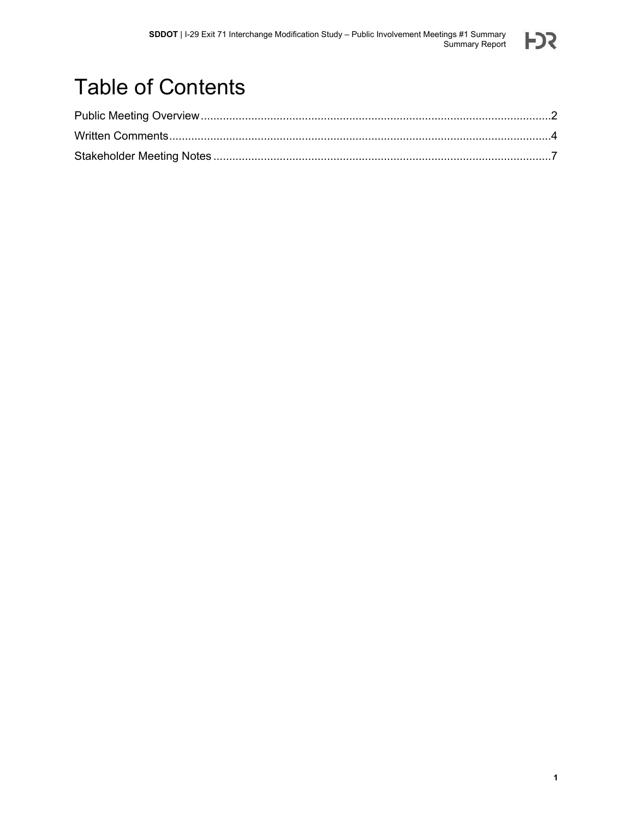

## Table of Contents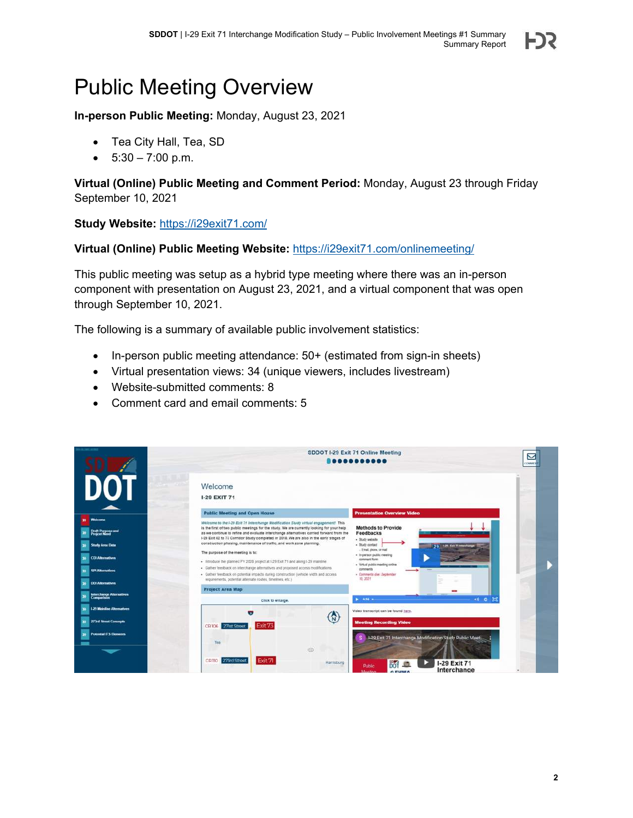### <span id="page-2-0"></span>Public Meeting Overview

**In-person Public Meeting:** Monday, August 23, 2021

- Tea City Hall, Tea, SD
- $\bullet$  5:30 7:00 p.m.

**Virtual (Online) Public Meeting and Comment Period:** Monday, August 23 through Friday September 10, 2021

#### **Study Website:** <https://i29exit71.com/>

#### **Virtual (Online) Public Meeting Website:** <https://i29exit71.com/onlinemeeting/>

This public meeting was setup as a hybrid type meeting where there was an in-person component with presentation on August 23, 2021, and a virtual component that was open through September 10, 2021.

The following is a summary of available public involvement statistics:

- $\bullet$  In-person public meeting attendance:  $50+$  (estimated from sign-in sheets)
- Virtual presentation views: 34 (unique viewers, includes livestream)
- Website-submitted comments: 8
- Comment card and email comments: 5

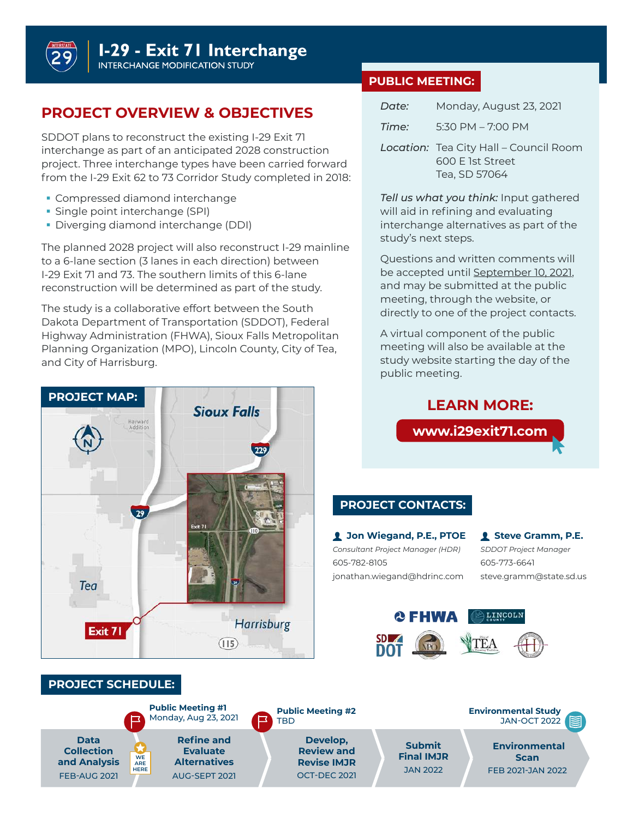**I-29 - Exit 71 Interchange** 

**INTERCHANGE MODIFICATION STUDY** 

#### **PROJECT OVERVIEW & OBJECTIVES**

SDDOT plans to reconstruct the existing I-29 Exit 71 interchange as part of an anticipated 2028 construction project. Three interchange types have been carried forward from the I-29 Exit 62 to 73 Corridor Study completed in 2018:

- **Compressed diamond interchange**
- **Single point interchange (SPI)**
- Diverging diamond interchange (DDI)

The planned 2028 project will also reconstruct I-29 mainline to a 6-lane section (3 lanes in each direction) between I-29 Exit 71 and 73. The southern limits of this 6-lane reconstruction will be determined as part of the study.

The study is a collaborative effort between the South Dakota Department of Transportation (SDDOT), Federal Highway Administration (FHWA), Sioux Falls Metropolitan Planning Organization (MPO), Lincoln County, City of Tea, and City of Harrisburg.



**Refine and Evaluate Alternatives** AUG-SEPT 2021

**Public Meeting #1** Monday, Aug 23, 2021

> **Review and Revise IMJR** OCT-DEC 2021

TBD

**PROJECT SCHEDULE:**

**WE ARE HERE**

**Data Collection and Analysis** FEB-AUG 2021

#### **PUBLIC MEETING:**

| Date: | Monday, August 23, 2021                                           |
|-------|-------------------------------------------------------------------|
| Time: | 5:30 PM $-$ 7:00 PM                                               |
|       | <b>Location:</b> Tea City Hall – Council Room<br>600 F 1st Street |

Tea, SD 57064

*Tell us what you think:* Input gathered will aid in refining and evaluating interchange alternatives as part of the study's next steps.

Questions and written comments will be accepted until September 10, 2021, and may be submitted at the public meeting, through the website, or directly to one of the project contacts.

A virtual component of the public meeting will also be available at the study website starting the day of the public meeting.

**LEARN MORE:**

### **www.i29exit71.comPROJECT CONTACTS: Jon Wiegand, P.E., PTOE Steve Gramm, P.E.** *Consultant Project Manager (HDR) SDDOT Project Manager* 605-782-8105 605-773-6641 jonathan.wiegand@hdrinc.com steve.gramm@state.sd.us **Q FHWA** LINCOLN **Public Meeting #2 Environmental Study** JAN-OCT 2022 **Develop, Submit Environmental**

**Final IMJR** JAN 2022

**Scan** FEB 2021-JAN 2022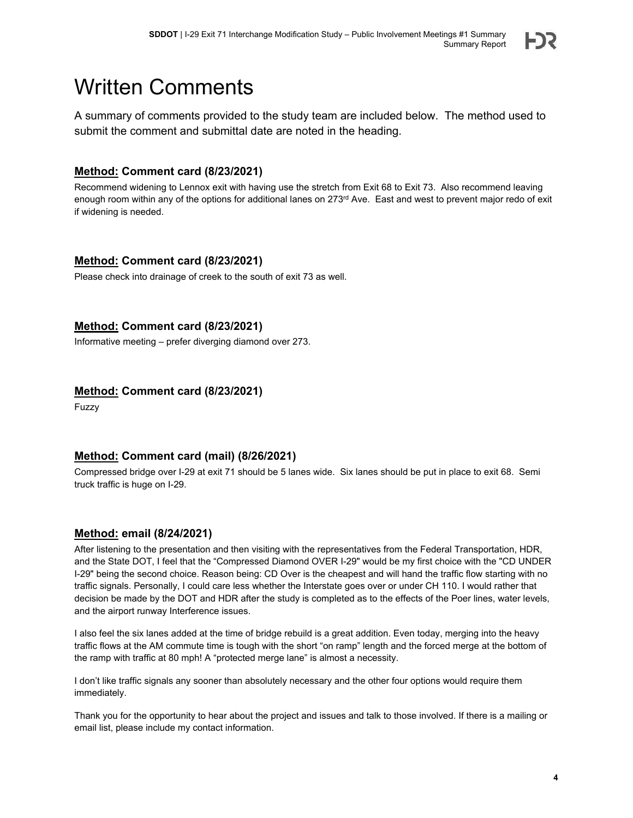

### <span id="page-4-0"></span>Written Comments

A summary of comments provided to the study team are included below. The method used to submit the comment and submittal date are noted in the heading.

#### **Method: Comment card (8/23/2021)**

Recommend widening to Lennox exit with having use the stretch from Exit 68 to Exit 73. Also recommend leaving enough room within any of the options for additional lanes on 273<sup>rd</sup> Ave. East and west to prevent major redo of exit if widening is needed.

#### **Method: Comment card (8/23/2021)**

Please check into drainage of creek to the south of exit 73 as well.

#### **Method: Comment card (8/23/2021)**

Informative meeting – prefer diverging diamond over 273.

#### **Method: Comment card (8/23/2021)**

Fuzzy

#### **Method: Comment card (mail) (8/26/2021)**

Compressed bridge over I-29 at exit 71 should be 5 lanes wide. Six lanes should be put in place to exit 68. Semi truck traffic is huge on I-29.

#### **Method: email (8/24/2021)**

After listening to the presentation and then visiting with the representatives from the Federal Transportation, HDR, and the State DOT, I feel that the "Compressed Diamond OVER I-29" would be my first choice with the "CD UNDER I-29" being the second choice. Reason being: CD Over is the cheapest and will hand the traffic flow starting with no traffic signals. Personally, I could care less whether the Interstate goes over or under CH 110. I would rather that decision be made by the DOT and HDR after the study is completed as to the effects of the Poer lines, water levels, and the airport runway Interference issues.

I also feel the six lanes added at the time of bridge rebuild is a great addition. Even today, merging into the heavy traffic flows at the AM commute time is tough with the short "on ramp" length and the forced merge at the bottom of the ramp with traffic at 80 mph! A "protected merge lane" is almost a necessity.

I don't like traffic signals any sooner than absolutely necessary and the other four options would require them immediately.

Thank you for the opportunity to hear about the project and issues and talk to those involved. If there is a mailing or email list, please include my contact information.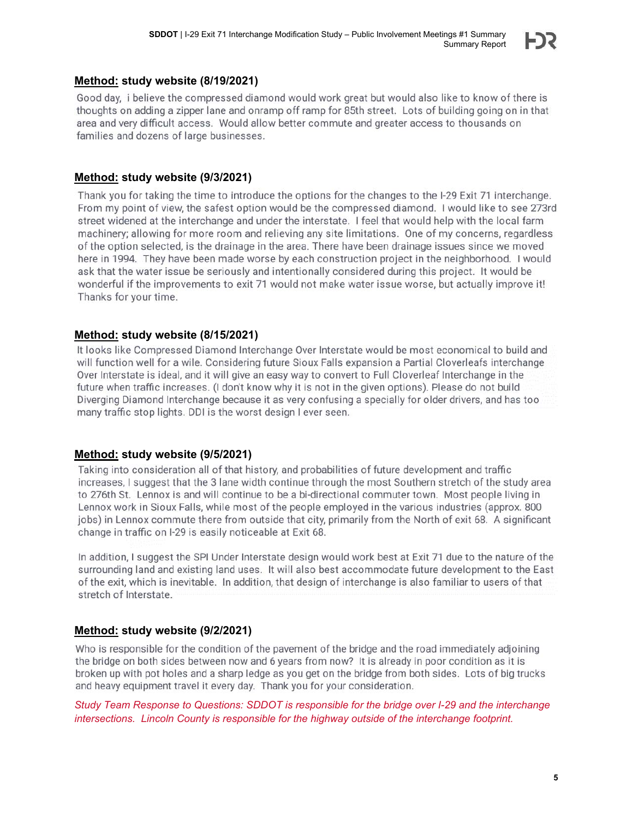#### **Method: study website (8/19/2021)**

Good day, i believe the compressed diamond would work great but would also like to know of there is thoughts on adding a zipper lane and onramp off ramp for 85th street. Lots of building going on in that area and very difficult access. Would allow better commute and greater access to thousands on families and dozens of large businesses.

#### **Method: study website (9/3/2021)**

Thank you for taking the time to introduce the options for the changes to the I-29 Exit 71 interchange. From my point of view, the safest option would be the compressed diamond. I would like to see 273rd street widened at the interchange and under the interstate. I feel that would help with the local farm machinery; allowing for more room and relieving any site limitations. One of my concerns, regardless of the option selected, is the drainage in the area. There have been drainage issues since we moved here in 1994. They have been made worse by each construction project in the neighborhood. I would ask that the water issue be seriously and intentionally considered during this project. It would be wonderful if the improvements to exit 71 would not make water issue worse, but actually improve it! Thanks for your time.

#### **Method: study website (8/15/2021)**

It looks like Compressed Diamond Interchange Over Interstate would be most economical to build and will function well for a wile. Considering future Sioux Falls expansion a Partial Cloverleafs interchange Over Interstate is ideal, and it will give an easy way to convert to Full Cloverleaf Interchange in the future when traffic increases. (I don't know why it is not in the given options). Please do not build Diverging Diamond Interchange because it as very confusing a specially for older drivers, and has too many traffic stop lights. DDI is the worst design I ever seen.

#### **Method: study website (9/5/2021)**

Taking into consideration all of that history, and probabilities of future development and traffic increases, I suggest that the 3 lane width continue through the most Southern stretch of the study area to 276th St. Lennox is and will continue to be a bi-directional commuter town. Most people living in Lennox work in Sioux Falls, while most of the people employed in the various industries (approx, 800) jobs) in Lennox commute there from outside that city, primarily from the North of exit 68. A significant change in traffic on I-29 is easily noticeable at Exit 68.

In addition, I suggest the SPI Under Interstate design would work best at Exit 71 due to the nature of the surrounding land and existing land uses. It will also best accommodate future development to the East of the exit, which is inevitable. In addition, that design of interchange is also familiar to users of that stretch of Interstate.

#### **Method: study website (9/2/2021)**

Who is responsible for the condition of the pavement of the bridge and the road immediately adjoining the bridge on both sides between now and 6 years from now? It is already in poor condition as it is broken up with pot holes and a sharp ledge as you get on the bridge from both sides. Lots of big trucks and heavy equipment travel it every day. Thank you for your consideration.

*Study Team Response to Questions: SDDOT is responsible for the bridge over I-29 and the interchange intersections. Lincoln County is responsible for the highway outside of the interchange footprint.*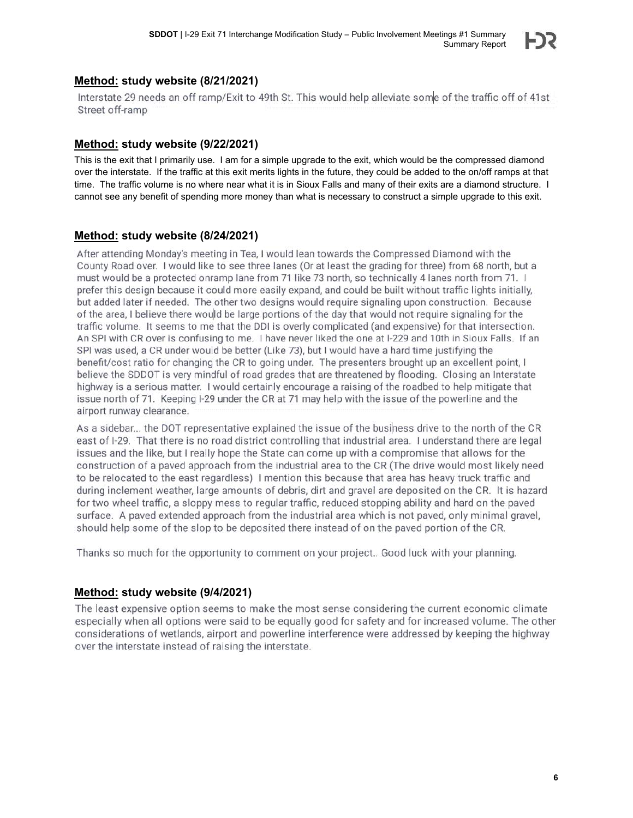#### **Method: study website (8/21/2021)**

Interstate 29 needs an off ramp/Exit to 49th St. This would help alleviate some of the traffic off of 41st Street off-ramp

#### **Method: study website (9/22/2021)**

This is the exit that I primarily use. I am for a simple upgrade to the exit, which would be the compressed diamond over the interstate. If the traffic at this exit merits lights in the future, they could be added to the on/off ramps at that time. The traffic volume is no where near what it is in Sioux Falls and many of their exits are a diamond structure. I cannot see any benefit of spending more money than what is necessary to construct a simple upgrade to this exit.

#### **Method: study website (8/24/2021)**

After attending Monday's meeting in Tea, I would lean towards the Compressed Diamond with the County Road over. I would like to see three lanes (Or at least the grading for three) from 68 north, but a must would be a protected onramp lane from 71 like 73 north, so technically 4 lanes north from 71. I prefer this design because it could more easily expand, and could be built without traffic lights initially, but added later if needed. The other two designs would require signaling upon construction. Because of the area. I believe there would be large portions of the day that would not require signaling for the traffic volume. It seems to me that the DDI is overly complicated (and expensive) for that intersection. An SPI with CR over is confusing to me. I have never liked the one at I-229 and 10th in Sioux Falls. If an SPI was used, a CR under would be better (Like 73), but I would have a hard time justifying the benefit/cost ratio for changing the CR to going under. The presenters brought up an excellent point, I believe the SDDOT is very mindful of road grades that are threatened by flooding. Closing an Interstate highway is a serious matter. I would certainly encourage a raising of the roadbed to help mitigate that issue north of 71. Keeping I-29 under the CR at 71 may help with the issue of the powerline and the airport runway clearance.

As a sidebar... the DOT representative explained the issue of the business drive to the north of the CR east of I-29. That there is no road district controlling that industrial area. I understand there are legal issues and the like, but I really hope the State can come up with a compromise that allows for the construction of a paved approach from the industrial area to the CR (The drive would most likely need to be relocated to the east regardless) I mention this because that area has heavy truck traffic and during inclement weather, large amounts of debris, dirt and gravel are deposited on the CR. It is hazard for two wheel traffic, a sloppy mess to regular traffic, reduced stopping ability and hard on the paved surface. A paved extended approach from the industrial area which is not paved, only minimal gravel, should help some of the slop to be deposited there instead of on the paved portion of the CR.

Thanks so much for the opportunity to comment on your project.. Good luck with your planning.

#### **Method: study website (9/4/2021)**

The least expensive option seems to make the most sense considering the current economic climate especially when all options were said to be equally good for safety and for increased volume. The other considerations of wetlands, airport and powerline interference were addressed by keeping the highway over the interstate instead of raising the interstate.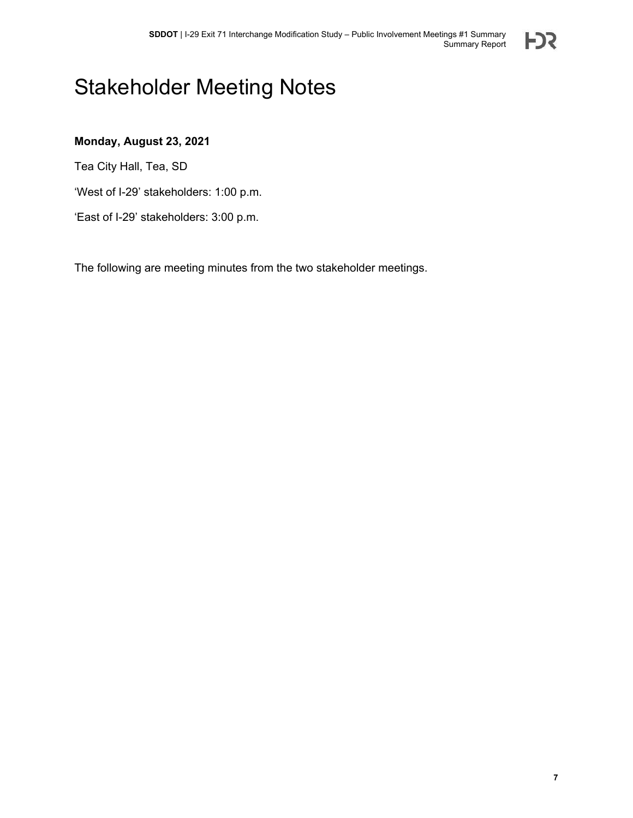

### <span id="page-7-0"></span>Stakeholder Meeting Notes

#### **Monday, August 23, 2021**

Tea City Hall, Tea, SD

'West of I-29' stakeholders: 1:00 p.m.

'East of I-29' stakeholders: 3:00 p.m.

The following are meeting minutes from the two stakeholder meetings.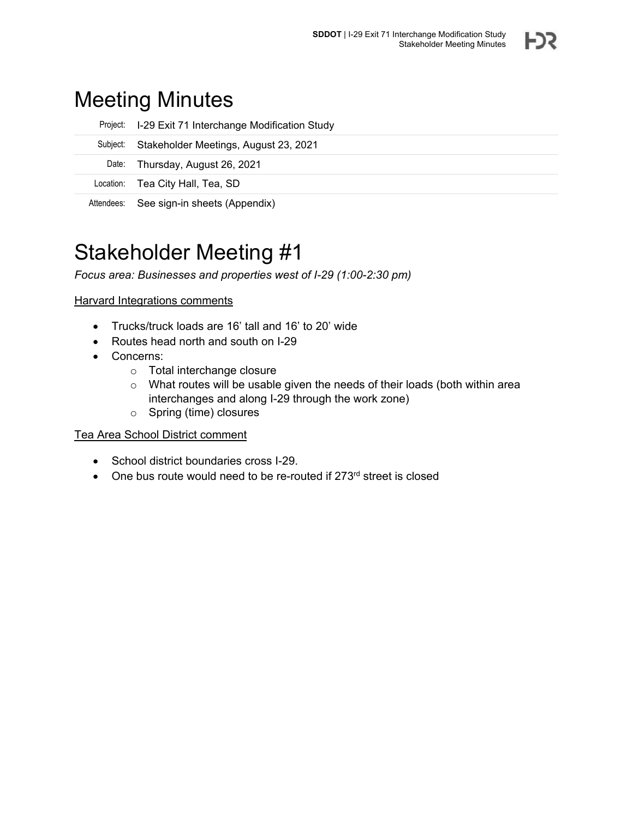### Meeting Minutes

|          | Project: I-29 Exit 71 Interchange Modification Study |
|----------|------------------------------------------------------|
| Subject: | Stakeholder Meetings, August 23, 2021                |
|          | Date: Thursday, August 26, 2021                      |
|          | Location: Tea City Hall, Tea, SD                     |
|          | Attendees: See sign-in sheets (Appendix)             |

### Stakeholder Meeting #1

*Focus area: Businesses and properties west of I-29 (1:00-2:30 pm)*

**Harvard Integrations comments** 

- Trucks/truck loads are 16' tall and 16' to 20' wide
- Routes head north and south on I-29
- Concerns:
	- o Total interchange closure
	- o What routes will be usable given the needs of their loads (both within area interchanges and along I-29 through the work zone)
	- o Spring (time) closures

#### Tea Area School District comment

- School district boundaries cross I-29.
- One bus route would need to be re-routed if 273<sup>rd</sup> street is closed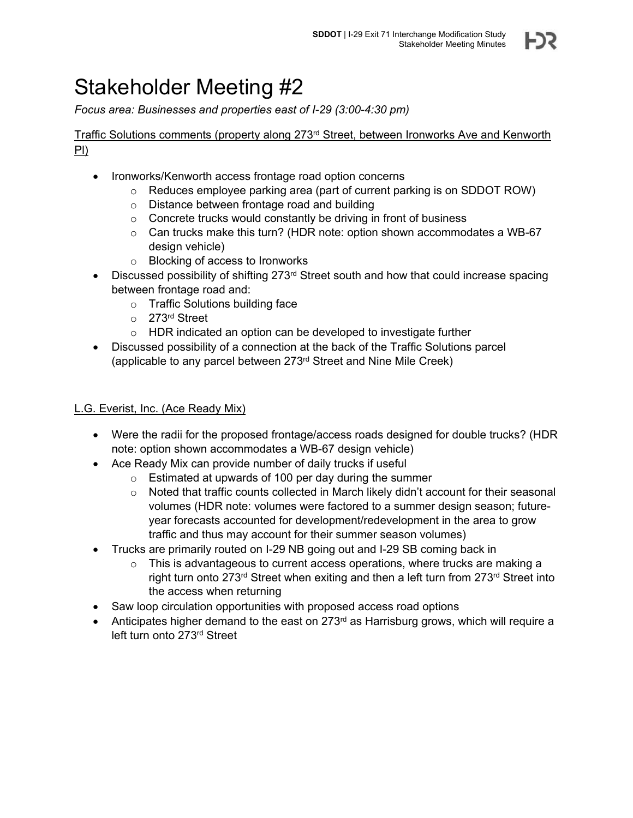*Focus area: Businesses and properties east of I-29 (3:00-4:30 pm)*

Traffic Solutions comments (property along  $273<sup>rd</sup>$  Street, between Ironworks Ave and Kenworth Pl)

- Ironworks/Kenworth access frontage road option concerns
	- $\circ$  Reduces employee parking area (part of current parking is on SDDOT ROW)
	- o Distance between frontage road and building
	- o Concrete trucks would constantly be driving in front of business
	- o Can trucks make this turn? (HDR note: option shown accommodates a WB-67 design vehicle)
	- o Blocking of access to Ironworks
- $\bullet$  Discussed possibility of shifting 273<sup>rd</sup> Street south and how that could increase spacing between frontage road and:
	- o Traffic Solutions building face
	- o 273rd Street
	- o HDR indicated an option can be developed to investigate further
- Discussed possibility of a connection at the back of the Traffic Solutions parcel (applicable to any parcel between 273rd Street and Nine Mile Creek)

#### L.G. Everist, Inc. (Ace Ready Mix)

- Were the radii for the proposed frontage/access roads designed for double trucks? (HDR note: option shown accommodates a WB-67 design vehicle)
- Ace Ready Mix can provide number of daily trucks if useful
	- o Estimated at upwards of 100 per day during the summer
	- $\circ$  Noted that traffic counts collected in March likely didn't account for their seasonal volumes (HDR note: volumes were factored to a summer design season; futureyear forecasts accounted for development/redevelopment in the area to grow traffic and thus may account for their summer season volumes)
- Trucks are primarily routed on I-29 NB going out and I-29 SB coming back in
	- $\circ$  This is advantageous to current access operations, where trucks are making a right turn onto 273<sup>rd</sup> Street when exiting and then a left turn from 273<sup>rd</sup> Street into the access when returning
- Saw loop circulation opportunities with proposed access road options
- Anticipates higher demand to the east on  $273<sup>rd</sup>$  as Harrisburg grows, which will require a left turn onto 273rd Street